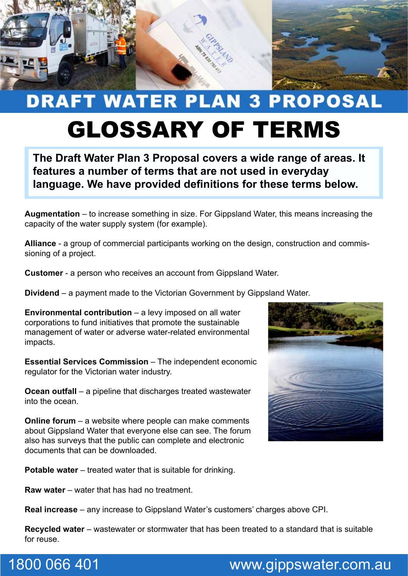

## **DRAFT WATER PLAN 3 PROPOSAL** GLOSSARY OF TERMS

**The Draft Water Plan 3 Proposal covers a wide range of areas. It features a number of terms that are not used in everyday language. We have provided definitions for these terms below.**

**Augmentation** – to increase something in size. For Gippsland Water, this means increasing the capacity of the water supply system (for example).

**Alliance** - a group of commercial participants working on the design, construction and commissioning of a project.

**Customer** - a person who receives an account from Gippsland Water.

**Dividend** – a payment made to the Victorian Government by Gippsland Water.

**Environmental contribution** – a levy imposed on all water corporations to fund initiatives that promote the sustainable management of water or adverse water-related environmental impacts.

**Essential Services Commission** – The independent economic regulator for the Victorian water industry.

**Ocean outfall** – a pipeline that discharges treated wastewater into the ocean.

**Online forum** – a website where people can make comments about Gippsland Water that everyone else can see. The forum also has surveys that the public can complete and electronic documents that can be downloaded.

**Potable water** – treated water that is suitable for drinking.

**Raw water** – water that has had no treatment.

**Real increase** – any increase to Gippsland Water's customers' charges above CPI.

**Recycled water** – wastewater or stormwater that has been treated to a standard that is suitable for reuse.



## 1800 066 401 www.gippswater.com.au